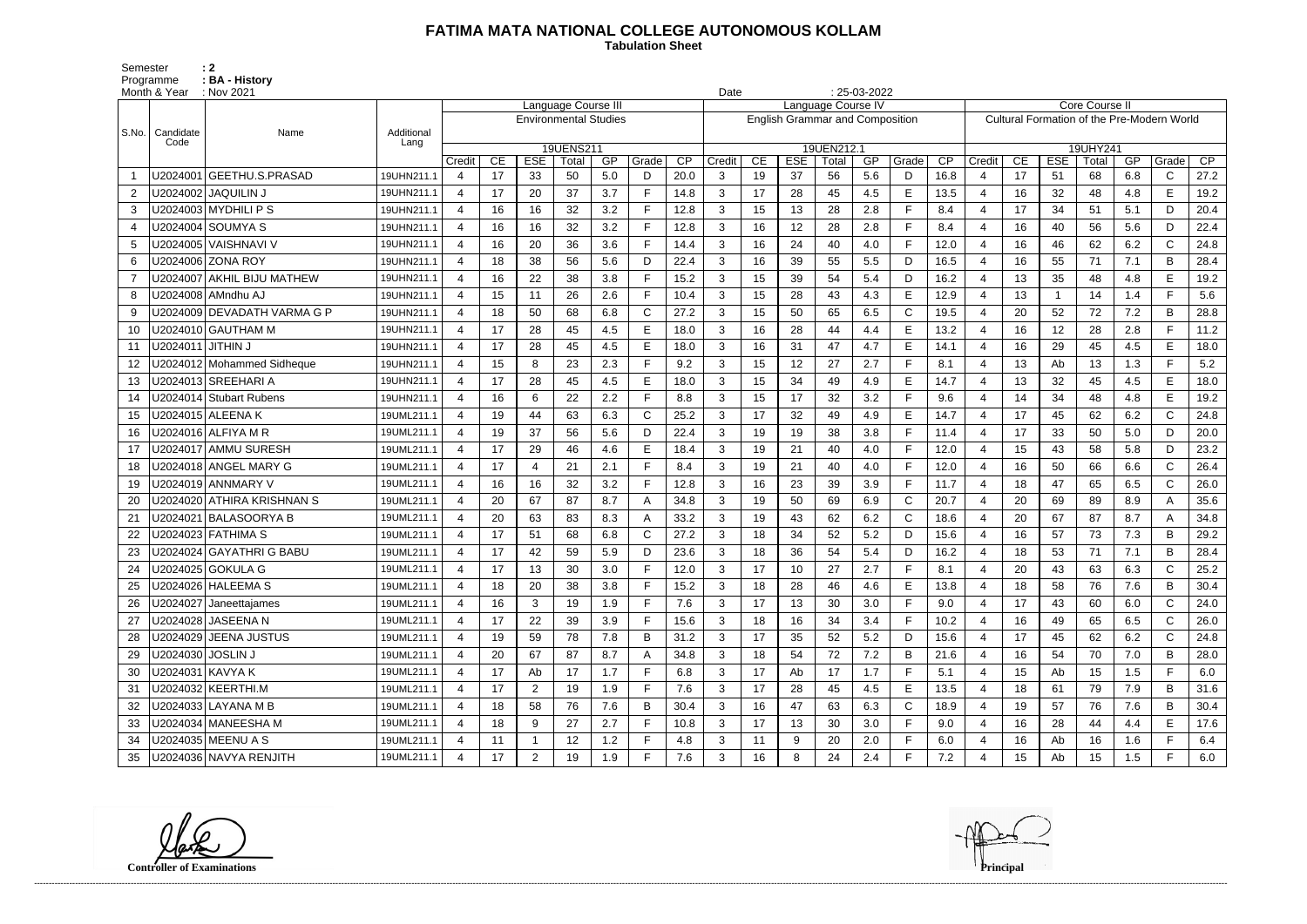## **FATIMA MATA NATIONAL COLLEGE AUTONOMOUS KOLLAM**

Semester : 2 Programme **: BA - History**  **Tabulation Sheet** 

|                | Month & Year      | $: 25-03-2022$<br>: Nov 2021<br>Date<br>Language Course III<br>Language Course IV |            |                       |    |                |                              |     |       |      |                                        |    |            |            |     |              |                 |                  |                                            |            |                 |     |              |      |  |
|----------------|-------------------|-----------------------------------------------------------------------------------|------------|-----------------------|----|----------------|------------------------------|-----|-------|------|----------------------------------------|----|------------|------------|-----|--------------|-----------------|------------------|--------------------------------------------|------------|-----------------|-----|--------------|------|--|
|                |                   |                                                                                   |            |                       |    |                | <b>Environmental Studies</b> |     |       |      |                                        |    |            |            |     |              |                 |                  | Core Course II                             |            |                 |     |              |      |  |
| S.No.          | Candidate         | Name                                                                              | Additional |                       |    |                |                              |     |       |      | <b>English Grammar and Composition</b> |    |            |            |     |              |                 |                  | Cultural Formation of the Pre-Modern World |            |                 |     |              |      |  |
|                | Code              |                                                                                   | Lang       |                       |    |                | 19UENS211                    |     |       |      |                                        |    |            | 19UEN212.1 |     |              |                 |                  |                                            |            | 19UHY241        |     |              |      |  |
|                |                   |                                                                                   |            | Credit                | CE | <b>ESE</b>     | Total                        | GP  | Grade | CP   | Credit                                 | CE | <b>ESE</b> | Total      | GP  | Grade        | $\overline{CP}$ | Credit           | CE                                         | <b>ESE</b> | Total           | GP  | Grade        | CP   |  |
|                |                   | U2024001 GEETHU.S.PRASAD                                                          | 19UHN211.1 | 4                     | 17 | 33             | 50                           | 5.0 | D     | 20.0 | 3                                      | 19 | 37         | 56         | 5.6 | D            | 16.8            | 4                | 17                                         | 51         | 68              | 6.8 | C.           | 27.2 |  |
| 2              |                   | U2024002   JAQUILIN J                                                             | 19UHN211.1 | $\overline{4}$        | 17 | 20             | 37                           | 3.7 |       | 14.8 | 3                                      | 17 | 28         | 45         | 4.5 | E            | 13.5            | $\overline{4}$   | 16                                         | 32         | 48              | 4.8 | E            | 19.2 |  |
| 3              |                   | U2024003 MYDHILI P S                                                              | 19UHN211.1 | $\boldsymbol{\Delta}$ | 16 | 16             | 32                           | 3.2 |       | 12.8 | $\mathbf{3}$                           | 15 | 13         | 28         | 2.8 | F            | 8.4             | 4                | 17                                         | 34         | 51              | 5.1 | D            | 20.4 |  |
| 4              |                   | U2024004 SOUMYA S                                                                 | 19UHN211.1 | $\overline{4}$        | 16 | 16             | 32                           | 3.2 |       | 12.8 | 3                                      | 16 | 12         | 28         | 2.8 | F            | 8.4             | $\overline{4}$   | 16                                         | 40         | 56              | 5.6 | D            | 22.4 |  |
| 5              |                   | U2024005 VAISHNAVI V                                                              | 19UHN211.1 | $\overline{4}$        | 16 | 20             | 36                           | 3.6 |       | 14.4 | 3                                      | 16 | 24         | 40         | 4.0 | F            | 12.0            | $\boldsymbol{4}$ | 16                                         | 46         | 62              | 6.2 | $\mathsf{C}$ | 24.8 |  |
| 6              |                   | U2024006 ZONA ROY                                                                 | 19UHN211.1 | 4                     | 18 | 38             | 56                           | 5.6 | D     | 22.4 | 3                                      | 16 | 39         | 55         | 5.5 | D            | 16.5            | $\overline{4}$   | 16                                         | 55         | 71              | 7.1 | B            | 28.4 |  |
| $\overline{7}$ |                   | U2024007 AKHIL BIJU MATHEW                                                        | 19UHN211.1 | $\overline{4}$        | 16 | 22             | 38                           | 3.8 |       | 15.2 | 3                                      | 15 | 39         | 54         | 5.4 | D            | 16.2            | $\overline{4}$   | 13                                         | 35         | 48              | 4.8 | E            | 19.2 |  |
| 8              |                   | U2024008 AMndhu AJ                                                                | 19UHN211.1 | $\boldsymbol{\Delta}$ | 15 | 11             | 26                           | 2.6 | F     | 10.4 | 3                                      | 15 | 28         | 43         | 4.3 | E            | 12.9            | $\boldsymbol{4}$ | 13                                         | -1         | 14              | 1.4 | F.           | 5.6  |  |
| 9              |                   | U2024009 DEVADATH VARMA G P                                                       | 19UHN211.1 |                       | 18 | 50             | 68                           | 6.8 | C     | 27.2 | 3                                      | 15 | 50         | 65         | 6.5 | C            | 19.5            | $\overline{4}$   | 20                                         | 52         | 72              | 7.2 | B            | 28.8 |  |
| 10             |                   | U2024010 GAUTHAM M                                                                | 19UHN211.1 | $\overline{4}$        | 17 | 28             | 45                           | 4.5 | E     | 18.0 | $\mathbf{3}$                           | 16 | 28         | 44         | 4.4 | E            | 13.2            | $\overline{4}$   | 16                                         | 12         | 28              | 2.8 | F.           | 11.2 |  |
| 11             | U2024011 JITHIN J |                                                                                   | 19UHN211.1 | 4                     | 17 | 28             | 45                           | 4.5 | Е     | 18.0 | 3                                      | 16 | 31         | 47         | 4.7 | Е            | 14.1            | $\overline{4}$   | 16                                         | 29         | 45              | 4.5 | E.           | 18.0 |  |
| 12             |                   | U2024012 Mohammed Sidheque                                                        | 19UHN211.1 | $\boldsymbol{\Delta}$ | 15 | 8              | 23                           | 2.3 |       | 9.2  | 3                                      | 15 | 12         | 27         | 2.7 | F            | 8.1             | $\overline{4}$   | 13                                         | Ab         | 13              | 1.3 | E.           | 5.2  |  |
| 13             |                   | U2024013 SREEHARI A                                                               | 19UHN211.1 | $\overline{4}$        | 17 | 28             | 45                           | 4.5 | E     | 18.0 | 3                                      | 15 | 34         | 49         | 4.9 | E            | 14.7            | $\overline{4}$   | 13                                         | 32         | 45              | 4.5 | E            | 18.0 |  |
| 14             |                   | U2024014 Stubart Rubens                                                           | 19UHN211.1 |                       | 16 | 6              | 22                           | 2.2 |       | 8.8  | 3                                      | 15 | 17         | 32         | 3.2 | $\mathsf{F}$ | 9.6             | $\overline{4}$   | 14                                         | 34         | 48              | 4.8 | E            | 19.2 |  |
| 15             |                   | U2024015 ALEENA K                                                                 | 19UML211.1 | $\overline{4}$        | 19 | 44             | 63                           | 6.3 | C     | 25.2 | 3                                      | 17 | 32         | 49         | 4.9 | E            | 14.7            | $\overline{4}$   | 17                                         | 45         | 62              | 6.2 | $\mathsf{C}$ | 24.8 |  |
| 16             |                   |                                                                                   | 19UML211.1 | 4                     | 19 | 37             | 56                           | 5.6 | D     | 22.4 | 3                                      | 19 | 19         | 38         | 3.8 | E            | 11.4            | $\overline{4}$   | 17                                         | 33         | 50              | 5.0 | D.           | 20.0 |  |
| 17             |                   | U2024017 AMMU SURESH                                                              | 19UML211.1 | 4                     | 17 | 29             | 46                           | 4.6 | E     | 18.4 | 3                                      | 19 | 21         | 40         | 4.0 | E            | 12.0            | $\overline{4}$   | 15                                         | 43         | 58              | 5.8 | D            | 23.2 |  |
| 18             |                   | U2024018 ANGEL MARY G                                                             | 19UML211.1 | $\overline{4}$        | 17 | 4              | 21                           | 2.1 | Е     | 8.4  | 3                                      | 19 | 21         | 40         | 4.0 | F            | 12.0            | $\boldsymbol{4}$ | 16                                         | 50         | 66              | 6.6 | $\mathsf{C}$ | 26.4 |  |
| 19             |                   | U2024019 ANNMARY V                                                                | 19UML211.1 | $\overline{4}$        | 16 | 16             | 32                           | 3.2 |       | 12.8 | 3                                      | 16 | 23         | 39         | 3.9 | F            | 11.7            | $\overline{4}$   | 18                                         | 47         | 65              | 6.5 | $\mathsf{C}$ | 26.0 |  |
| 20             |                   | U2024020 ATHIRA KRISHNAN S                                                        | 19UML211.1 | 4                     | 20 | 67             | 87                           | 8.7 | A     | 34.8 | 3                                      | 19 | 50         | 69         | 6.9 | C            | 20.7            | $\overline{4}$   | 20                                         | 69         | 89              | 8.9 | A            | 35.6 |  |
| 21             |                   | U2024021 BALASOORYA B                                                             | 19UML211.1 | 4                     | 20 | 63             | 83                           | 8.3 |       | 33.2 | 3                                      | 19 | 43         | 62         | 6.2 | $\mathsf{C}$ | 18.6            | $\overline{4}$   | 20                                         | 67         | 87              | 8.7 | A            | 34.8 |  |
| 22             |                   | U2024023   FATHIMA S                                                              | 19UML211.1 | 4                     | 17 | 51             | 68                           | 6.8 | C     | 27.2 | 3                                      | 18 | 34         | 52         | 5.2 | D            | 15.6            | $\boldsymbol{4}$ | 16                                         | 57         | 73              | 7.3 | B            | 29.2 |  |
| 23             |                   | U2024024 GAYATHRI G BABU                                                          | 19UML211.1 | 4                     | 17 | 42             | 59                           | 5.9 | D     | 23.6 | 3                                      | 18 | 36         | 54         | 5.4 | D            | 16.2            | $\overline{4}$   | 18                                         | 53         | 71              | 7.1 | B            | 28.4 |  |
| 24             |                   | U2024025 GOKULA G                                                                 | 19UML211.1 |                       | 17 | 13             | 30                           | 3.0 |       | 12.0 | 3                                      | 17 | 10         | 27         | 2.7 | E            | 8.1             | $\boldsymbol{4}$ | 20                                         | 43         | 63              | 6.3 |              | 25.2 |  |
| 25             |                   | U2024026 HALEEMA S                                                                | 19UML211.1 | 4                     | 18 | 20             | 38                           | 3.8 |       | 15.2 | 3                                      | 18 | 28         | 46         | 4.6 | E            | 13.8            | 4                | 18                                         | 58         | 76              | 7.6 | B            | 30.4 |  |
|                |                   | U2024027 Janeettajames                                                            | 19UML211.1 | $\overline{4}$        | 16 | 3              | 19                           | 1.9 |       | 7.6  | 3                                      | 17 | 13         | 30         | 3.0 | F            | 9.0             | 4                | 17                                         | 43         | 60              | 6.0 | $\mathsf{C}$ | 24.0 |  |
| 27             |                   | U2024028 JASEENA N                                                                | 19UML211.1 | $\overline{4}$        | 17 | 22             | 39                           | 3.9 |       | 15.6 | 3                                      | 18 | 16         | 34         | 3.4 | F            | 10.2            | $\overline{4}$   | 16                                         | 49         | 65              | 6.5 | $\mathsf{C}$ | 26.0 |  |
| 28             |                   | U2024029 JEENA JUSTUS                                                             | 19UML211.1 | 4                     | 19 | 59             | 78                           | 7.8 | B     | 31.2 | 3 <sup>1</sup>                         | 17 | 35         | 52         | 5.2 | D            | 15.6            | $\overline{4}$   | 17                                         | 45         | 62              | 6.2 | C            | 24.8 |  |
| 29             | U2024030 JOSLIN J |                                                                                   | 19UML211.1 | 4                     | 20 | 67             | 87                           | 8.7 |       | 34.8 | 3                                      | 18 | 54         | 72         | 7.2 | B            | 21.6            | 4                | 16                                         | 54         | 70              | 7.0 | B            | 28.0 |  |
| 30             |                   | U2024031 KAVYA K                                                                  | 19UML211.1 | 4                     | 17 | Ab             | 17                           | 1.7 |       | 6.8  | $\mathbf{3}$                           | 17 | Ab         | 17         | 1.7 | F            | 5.1             | 4                | 15                                         | Ab         | 15              | 1.5 | F.           | 6.0  |  |
| 31             |                   | U2024032 KEERTHI.M                                                                | 19UML211.1 |                       | 17 | $\overline{2}$ | 19                           | 1.9 | F.    | 7.6  | 3                                      | 17 | 28         | 45         | 4.5 | E            | 13.5            | 4                | 18                                         | 61         | 79              | 7.9 | B            | 31.6 |  |
| 32             |                   | U2024033 LAYANA M B                                                               | 19UML211.1 | $\overline{4}$        | 18 | 58             | 76                           | 7.6 | B     | 30.4 | 3                                      | 16 | 47         | 63         | 6.3 | C            | 18.9            | $\overline{4}$   | 19                                         | 57         | 76              | 7.6 | B            | 30.4 |  |
| 33             |                   | U2024034 MANEESHA M                                                               | 19UML211.1 | $\overline{4}$        | 18 | 9              | 27                           | 2.7 | F.    | 10.8 | 3 <sup>1</sup>                         | 17 | 13         | 30         | 3.0 | F.           | 9.0             | $\overline{4}$   | 16                                         | 28         | 44              | 4.4 | E            | 17.6 |  |
| 34             |                   | U2024035 MEENU A S                                                                | 19UML211.1 | 4                     | 11 | $\mathbf 1$    | 12                           | 1.2 | F     | 4.8  | $\mathbf{3}$                           | 11 | 9          | 20         | 2.0 | $\mathsf F$  | 6.0             | 4                | 16                                         | Ab         | 16              | 1.6 |              | 6.4  |  |
| 35             |                   | U2024036 NAVYA RENJITH                                                            | 19UML211.1 | 4                     | 17 | $\overline{2}$ | 19                           | 1.9 | F     | 7.6  | 3 <sup>1</sup>                         | 16 | 8          | 24         | 2.4 | $\mathsf F$  | 7.2             | 4                | 15 <sub>1</sub>                            | Ab         | 15 <sub>1</sub> | 1.5 | F.           | 6.0  |  |

**Controller of Examinations** 

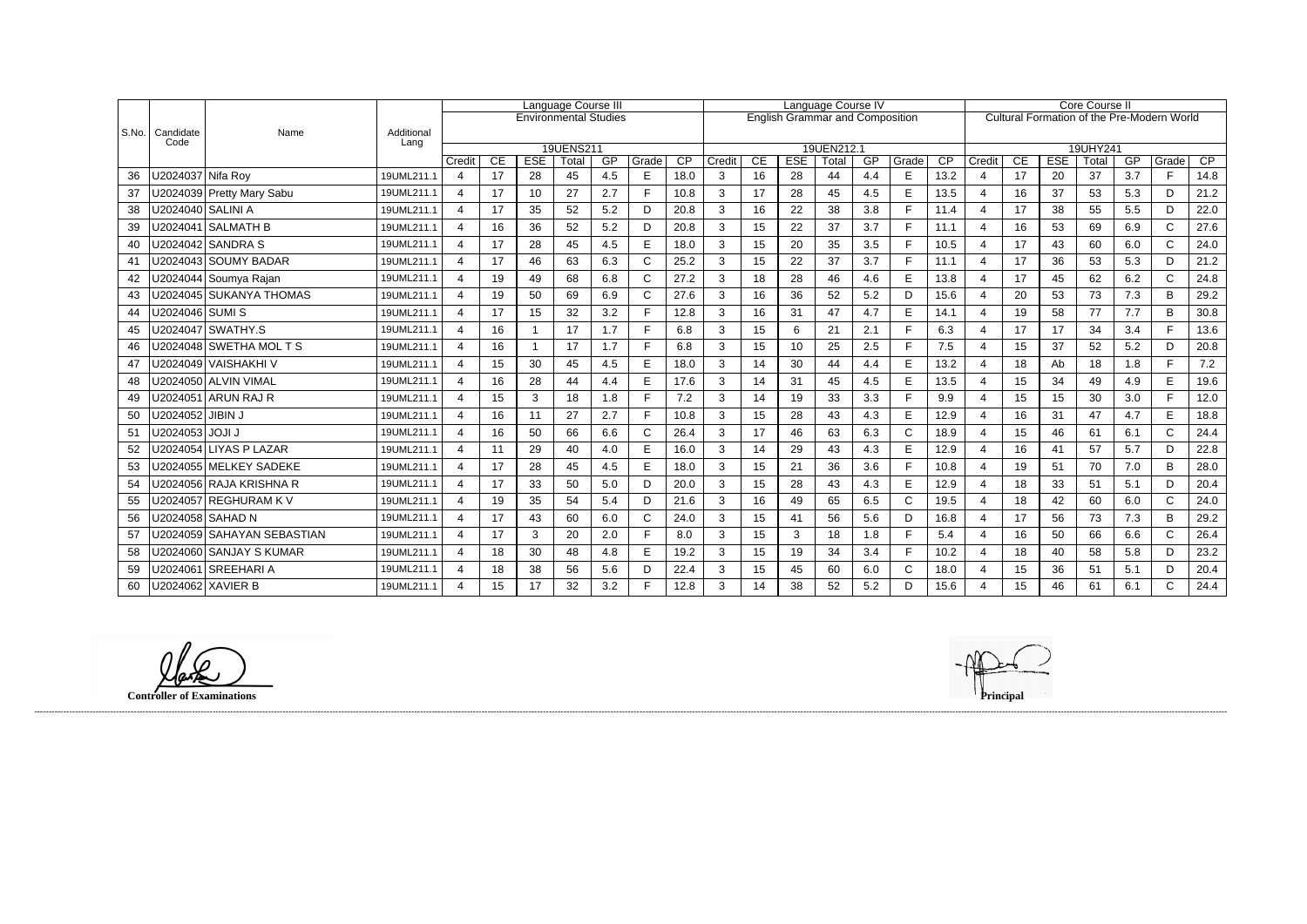|       |                     |                            |                    | Language Course III      |    |            |                              |     | Language Course IV |      |                                        |    |            |                     |     | <b>Core Course II</b> |      |                       |                                            |            |                   |     |              |      |  |
|-------|---------------------|----------------------------|--------------------|--------------------------|----|------------|------------------------------|-----|--------------------|------|----------------------------------------|----|------------|---------------------|-----|-----------------------|------|-----------------------|--------------------------------------------|------------|-------------------|-----|--------------|------|--|
|       |                     |                            |                    |                          |    |            | <b>Environmental Studies</b> |     |                    |      | <b>English Grammar and Composition</b> |    |            |                     |     |                       |      |                       | Cultural Formation of the Pre-Modern World |            |                   |     |              |      |  |
| S.No. | Candidate<br>Code   | Name                       | Additional<br>Lang |                          |    |            |                              |     |                    |      |                                        |    |            |                     |     |                       |      |                       |                                            |            |                   |     |              |      |  |
|       |                     |                            |                    | Credit                   | CE | <b>ESE</b> | 19UENS211<br>Total           | GP  | Grade              | CP   | Credit                                 | CE | <b>ESE</b> | 19UEN212.1<br>Total | GP  | Grade                 | CP   | Credit                | CE                                         | <b>ESE</b> | 19UHY241<br>Total | GP  | Grade        | CP   |  |
| 36    | U2024037 Nifa Roy   |                            | 19UML211.1         | $\overline{4}$           | 17 | 28         | 45                           | 4.5 | E                  | 18.0 | 3                                      | 16 | 28         | 44                  | 4.4 | E                     | 13.2 | 4                     | 17                                         | 20         | 37                | 3.7 | F.           | 14.8 |  |
| 37    |                     | U2024039 Pretty Mary Sabu  | 19UML211.1         | 4                        | 17 | 10         | 27                           | 2.7 | Е                  | 10.8 | 3                                      | 17 | 28         | 45                  | 4.5 | E                     | 13.5 | $\boldsymbol{\Delta}$ | 16                                         | 37         | 53                | 5.3 | D.           | 21.2 |  |
|       | U2024040   SALINI A |                            |                    | $\overline{4}$           |    |            |                              |     | D                  |      |                                        |    |            |                     |     | F                     | 11.4 | $\overline{4}$        | 17                                         | 38         |                   | 5.5 | D            |      |  |
| 38    |                     |                            | 19UML211.1         |                          | 17 | 35         | 52                           | 5.2 |                    | 20.8 | 3                                      | 16 | 22         | 38                  | 3.8 |                       |      |                       |                                            |            | 55                |     |              | 22.0 |  |
| 39    |                     | U2024041   SALMATH B       | 19UML211.1         | $\overline{\mathbf{4}}$  | 16 | 36         | 52                           | 5.2 | D                  | 20.8 | 3                                      | 15 | 22         | 37                  | 3.7 | E                     | 11.1 | $\overline{4}$        | 16                                         | 53         | 69                | 6.9 | $\mathsf{C}$ | 27.6 |  |
| 40    |                     |                            | 19UML211.1         | 4                        | 17 | 28         | 45                           | 4.5 | E                  | 18.0 | 3                                      | 15 | 20         | 35                  | 3.5 | F                     | 10.5 | $\overline{4}$        | 17                                         | 43         | 60                | 6.0 | C            | 24.0 |  |
| 41    |                     | U2024043 SOUMY BADAR       | 19UML211.1         | $\overline{4}$           | 17 | 46         | 63                           | 6.3 | C                  | 25.2 | 3                                      | 15 | 22         | 37                  | 3.7 | F                     | 11.1 | $\overline{4}$        | 17                                         | 36         | 53                | 5.3 | D            | 21.2 |  |
| 42    |                     | U2024044 Soumya Rajan      | 19UML211.1         | $\boldsymbol{\varDelta}$ | 19 | 49         | 68                           | 6.8 | C                  | 27.2 | 3                                      | 18 | 28         | 46                  | 4.6 | E                     | 13.8 | 4                     | 17                                         | 45         | 62                | 6.2 | C            | 24.8 |  |
| 43    |                     | U2024045 SUKANYA THOMAS    | 19UML211.1         | 4                        | 19 | 50         | 69                           | 6.9 | $\mathsf{C}$       | 27.6 | 3                                      | 16 | 36         | 52                  | 5.2 | D                     | 15.6 | $\boldsymbol{\Delta}$ | 20                                         | 53         | 73                | 7.3 | B            | 29.2 |  |
| 44    | U2024046│SUMI S     |                            | 19UML211.1         | $\overline{4}$           | 17 | 15         | 32                           | 3.2 | Е                  | 12.8 | 3                                      | 16 | 31         | 47                  | 4.7 | E                     | 14.1 | $\overline{4}$        | 19                                         | 58         | 77                | 7.7 | B            | 30.8 |  |
| 45    |                     | U2024047 SWATHY.S          | 19UML211.1         | 4                        | 16 |            | 17                           | 1.7 | Е                  | 6.8  | 3                                      | 15 | 6          | 21                  | 2.1 | F                     | 6.3  | $\overline{4}$        | 17                                         | 17         | 34                | 3.4 | Е            | 13.6 |  |
| 46    |                     | U2024048 SWETHA MOL T S    | 19UML211.1         | $\overline{\mathbf{4}}$  | 16 | -1         | 17                           | 1.7 | Е                  | 6.8  | 3                                      | 15 | 10         | 25                  | 2.5 | F                     | 7.5  | $\overline{4}$        | 15                                         | 37         | 52                | 5.2 | D.           | 20.8 |  |
| 47    |                     | U2024049   VAISHAKHI V     | 19UML211.1         | Δ                        | 15 | 30         | 45                           | 4.5 | E                  | 18.0 | 3                                      | 14 | 30         | 44                  | 4.4 | E                     | 13.2 |                       | 18                                         | Ab         | 18                | 1.8 | Е            | 7.2  |  |
| 48    |                     | U2024050 ALVIN VIMAL       | 19UML211.1         | $\overline{4}$           | 16 | 28         | 44                           | 4.4 | E                  | 17.6 | 3                                      | 14 | 31         | 45                  | 4.5 | E                     | 13.5 | $\overline{4}$        | 15                                         | 34         | 49                | 4.9 | E            | 19.6 |  |
| 49    |                     | U2024051 ARUN RAJ R        | 19UML211.1         | $\overline{4}$           | 15 | 3          | 18                           | 1.8 |                    | 7.2  | 3                                      | 14 | 19         | 33                  | 3.3 | E                     | 9.9  | $\boldsymbol{\Delta}$ | 15                                         | 15         | 30                | 3.0 |              | 12.0 |  |
| 50    | U2024052   JIBIN J  |                            | 19UML211.1         | 4                        | 16 | 11         | 27                           | 2.7 | Е                  | 10.8 | 3                                      | 15 | 28         | 43                  | 4.3 | E                     | 12.9 | $\overline{4}$        | 16                                         | 31         | 47                | 4.7 | E            | 18.8 |  |
| 51    | U2024053   JOJI J   |                            | 19UML211.1         | 4                        | 16 | 50         | 66                           | 6.6 | C                  | 26.4 | 3                                      | 17 | 46         | 63                  | 6.3 | $\mathsf{C}$          | 18.9 | $\overline{4}$        | 15                                         | 46         | 61                | 6.1 | $\mathsf{C}$ | 24.4 |  |
| 52    |                     | U2024054 LIYAS P LAZAR     | 19UML211.1         | $\overline{\mathcal{A}}$ | 11 | 29         | 40                           | 4.0 | E                  | 16.0 | 3                                      | 14 | 29         | 43                  | 4.3 | E                     | 12.9 | $\overline{4}$        | 16                                         | 41         | 57                | 5.7 | D.           | 22.8 |  |
| 53    |                     | U2024055 MELKEY SADEKE     | 19UML211.1         | 4                        | 17 | 28         | 45                           | 4.5 | E                  | 18.0 | 3                                      | 15 | 21         | 36                  | 3.6 | E                     | 10.8 | $\overline{4}$        | 19                                         | 51         | 70                | 7.0 | B.           | 28.0 |  |
| 54    |                     | U2024056 RAJA KRISHNA R    | 19UML211.1         | $\boldsymbol{\varDelta}$ | 17 | 33         | 50                           | 5.0 | D                  | 20.0 | 3                                      | 15 | 28         | 43                  | 4.3 | E                     | 12.9 |                       | 18                                         | 33         | 51                | 5.1 | D.           | 20.4 |  |
| 55    |                     | U2024057 REGHURAM K V      | 19UML211.1         | 4                        | 19 | 35         | 54                           | 5.4 | D                  | 21.6 | 3                                      | 16 | 49         | 65                  | 6.5 | $\mathsf C$           | 19.5 | $\overline{4}$        | 18                                         | 42         | 60                | 6.0 | $\mathsf{C}$ | 24.0 |  |
| 56    |                     | U2024058 SAHAD N           | 19UML211.1         | $\overline{\mathbf{4}}$  | 17 | 43         | 60                           | 6.0 | $\mathsf{C}$       | 24.0 | 3                                      | 15 | 41         | 56                  | 5.6 | D                     | 16.8 | $\overline{4}$        | 17                                         | 56         | 73                | 7.3 | B            | 29.2 |  |
| 57    |                     | U2024059 SAHAYAN SEBASTIAN | 19UML211.1         | 4                        | 17 | 3          | 20                           | 2.0 | Е                  | 8.0  | 3                                      | 15 | 3          | 18                  | 1.8 | F                     | 5.4  | $\overline{4}$        | 16                                         | 50         | 66                | 6.6 | C            | 26.4 |  |
| 58    |                     | U2024060 SANJAY S KUMAR    | 19UML211.1         | 4                        | 18 | 30         | 48                           | 4.8 | E                  | 19.2 | 3                                      | 15 | 19         | 34                  | 3.4 | F                     | 10.2 | $\overline{4}$        | 18                                         | 40         | 58                | 5.8 | D            | 23.2 |  |
| 59    |                     | U2024061 SREEHARI A        | 19UML211.1         | 4                        | 18 | 38         | 56                           | 5.6 | D                  | 22.4 | 3                                      | 15 | 45         | 60                  | 6.0 | $\mathsf{C}$          | 18.0 |                       | 15                                         | 36         | 51                | 5.1 | D.           | 20.4 |  |
| 60    |                     | U2024062 XAVIER B          | 19UML211.1         | $\boldsymbol{\Delta}$    | 15 | 17         | 32                           | 3.2 | Е                  | 12.8 | 3                                      | 14 | 38         | 52                  | 5.2 | D                     | 15.6 | $\boldsymbol{\Delta}$ | 15                                         | 46         | 61                | 6.1 | C            | 24.4 |  |

**Controller of Examinations Principal**

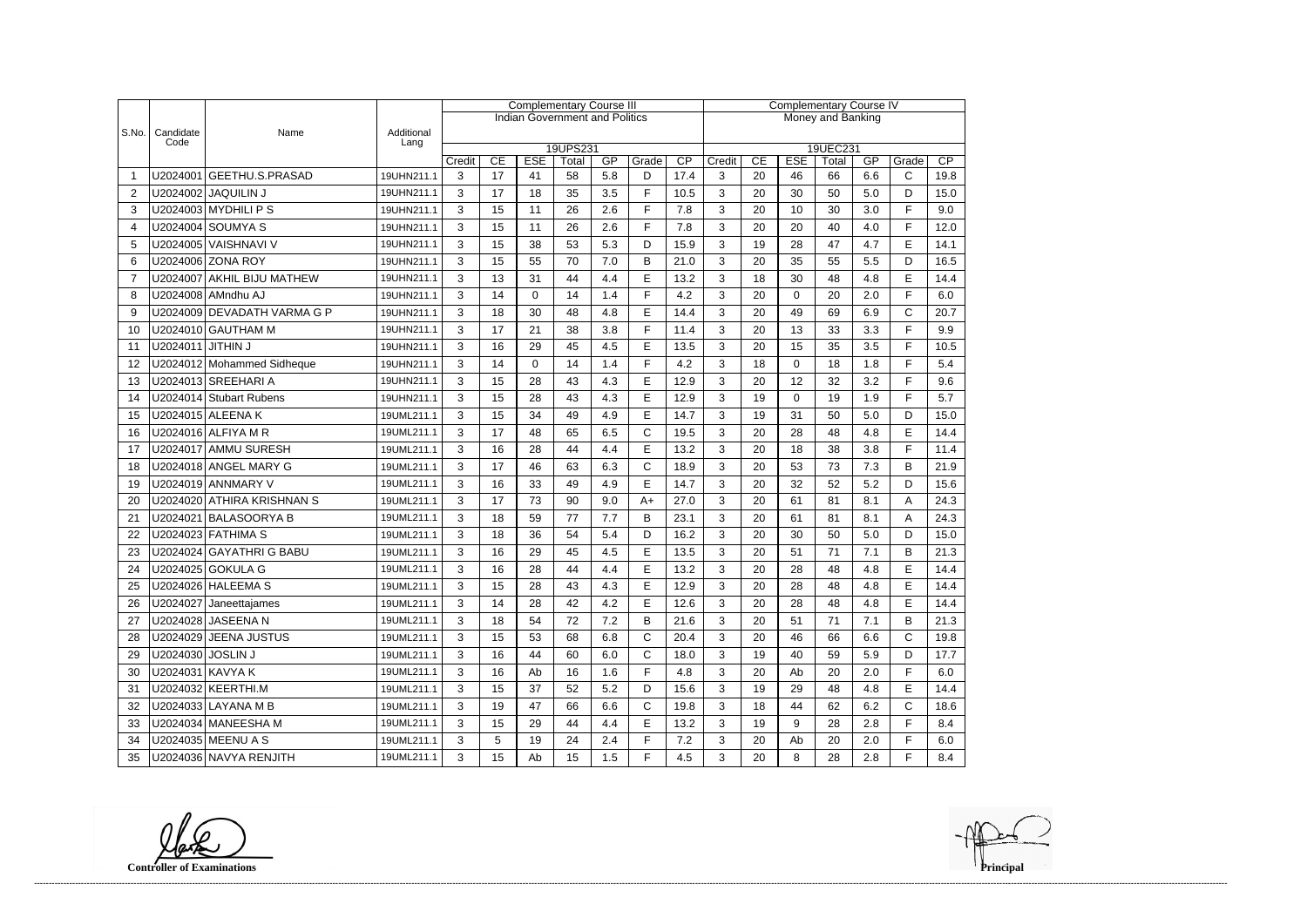|                |                   |                             |                    | <b>Complementary Course III</b>                            |    |          |                                       |     |              |                   | <b>Complementary Course IV</b> |                                                                      |    |    |     |              |      |  |  |
|----------------|-------------------|-----------------------------|--------------------|------------------------------------------------------------|----|----------|---------------------------------------|-----|--------------|-------------------|--------------------------------|----------------------------------------------------------------------|----|----|-----|--------------|------|--|--|
|                |                   |                             |                    |                                                            |    |          | <b>Indian Government and Politics</b> |     |              | Money and Banking |                                |                                                                      |    |    |     |              |      |  |  |
| S.No.          | Candidate<br>Code | Name                        | Additional<br>Lang |                                                            |    |          |                                       |     |              |                   |                                |                                                                      |    |    |     |              |      |  |  |
|                |                   |                             |                    | 19UPS231<br>CP<br>CE<br><b>ESE</b><br>GP<br>Grade<br>Total |    |          |                                       |     |              |                   |                                | 19UEC231<br>CP<br>CE<br><b>ESE</b><br>GP<br>Credit<br>Total<br>Grade |    |    |     |              |      |  |  |
| -1             |                   | U2024001 GEETHU.S.PRASAD    | 19UHN211.1         | Credit<br>3                                                | 17 | 41       | 58                                    | 5.8 | D            | 17.4              | 3                              | 20                                                                   | 46 | 66 | 6.6 | $\mathsf{C}$ | 19.8 |  |  |
| $\overline{2}$ |                   | U2024002 JAQUILIN J         | 19UHN211.1         | 3                                                          | 17 | 18       | 35                                    | 3.5 | F            | 10.5              | 3                              | 20                                                                   | 30 | 50 | 5.0 | D            | 15.0 |  |  |
| 3              |                   | U2024003 MYDHILI P S        | 19UHN211.1         | 3                                                          | 15 | 11       | 26                                    | 2.6 | F            | 7.8               | 3                              | 20                                                                   | 10 | 30 | 3.0 | F            | 9.0  |  |  |
| $\overline{4}$ |                   | U2024004 SOUMYA S           | 19UHN211.1         | 3                                                          | 15 | 11       | 26                                    | 2.6 | F            | 7.8               | 3                              | 20                                                                   | 20 | 40 | 4.0 | F            | 12.0 |  |  |
| 5              |                   | U2024005 VAISHNAVI V        | 19UHN211.1         | 3                                                          | 15 | 38       | 53                                    | 5.3 | D            | 15.9              | 3                              | 19                                                                   | 28 | 47 | 4.7 | E            | 14.1 |  |  |
| 6              |                   | U2024006 ZONA ROY           | 19UHN211.1         | 3                                                          | 15 | 55       | 70                                    | 7.0 | B            | 21.0              | 3                              | 20                                                                   | 35 | 55 | 5.5 | D            | 16.5 |  |  |
| $\overline{7}$ |                   | U2024007 AKHIL BIJU MATHEW  | 19UHN211.1         | 3                                                          | 13 | 31       | 44                                    | 4.4 | $\mathsf E$  | 13.2              | 3                              | 18                                                                   | 30 | 48 | 4.8 | E            | 14.4 |  |  |
| 8              |                   | U2024008 AMndhu AJ          | 19UHN211.1         | 3                                                          | 14 | $\Omega$ | 14                                    | 1.4 | E            | 4.2               | 3                              | 20                                                                   | 0  | 20 | 2.0 | F            | 6.0  |  |  |
| 9              |                   | U2024009 DEVADATH VARMA G P | 19UHN211.1         | 3                                                          | 18 | 30       | 48                                    | 4.8 | E            | 14.4              | 3                              | 20                                                                   | 49 | 69 | 6.9 | C            | 20.7 |  |  |
| 10             |                   | U2024010 GAUTHAM M          | 19UHN211.1         | 3                                                          | 17 | 21       | 38                                    | 3.8 | F            | 11.4              | 3                              | 20                                                                   | 13 | 33 | 3.3 | F            | 9.9  |  |  |
| 11             | U2024011 JITHIN J |                             | 19UHN211.1         | 3                                                          | 16 | 29       | 45                                    | 4.5 | E            | 13.5              | 3                              | 20                                                                   | 15 | 35 | 3.5 | F            | 10.5 |  |  |
| 12             |                   | U2024012 Mohammed Sidheque  | 19UHN211.1         | 3                                                          | 14 | 0        | 14                                    | 1.4 | F            | 4.2               | 3                              | 18                                                                   | 0  | 18 | 1.8 | F            | 5.4  |  |  |
| 13             |                   | U2024013 SREEHARI A         | 19UHN211.1         | 3                                                          | 15 | 28       | 43                                    | 4.3 | E            | 12.9              | 3                              | 20                                                                   | 12 | 32 | 3.2 | F            | 9.6  |  |  |
| 14             |                   | U2024014 Stubart Rubens     | 19UHN211.1         | 3                                                          | 15 | 28       | 43                                    | 4.3 | E            | 12.9              | 3                              | 19                                                                   | 0  | 19 | 1.9 | F            | 5.7  |  |  |
| 15             |                   | U2024015 ALEENA K           | 19UML211.1         | 3                                                          | 15 | 34       | 49                                    | 4.9 | E            | 14.7              | 3                              | 19                                                                   | 31 | 50 | 5.0 | D            | 15.0 |  |  |
| 16             |                   | U2024016 ALFIYA M R         | 19UML211.1         | 3                                                          | 17 | 48       | 65                                    | 6.5 | $\mathsf{C}$ | 19.5              | 3                              | 20                                                                   | 28 | 48 | 4.8 | E            | 14.4 |  |  |
| 17             |                   | U2024017 AMMU SURESH        | 19UML211.1         | 3                                                          | 16 | 28       | 44                                    | 4.4 | $\mathsf E$  | 13.2              | 3                              | 20                                                                   | 18 | 38 | 3.8 | F            | 11.4 |  |  |
| 18             |                   | U2024018 ANGEL MARY G       | 19UML211.1         | 3                                                          | 17 | 46       | 63                                    | 6.3 | $\mathsf{C}$ | 18.9              | 3                              | 20                                                                   | 53 | 73 | 7.3 | B            | 21.9 |  |  |
| 19             |                   | U2024019 ANNMARY V          | 19UML211.1         | 3                                                          | 16 | 33       | 49                                    | 4.9 | E            | 14.7              | 3                              | 20                                                                   | 32 | 52 | 5.2 | D            | 15.6 |  |  |
| 20             |                   | U2024020 ATHIRA KRISHNAN S  | 19UML211.1         | 3                                                          | 17 | 73       | 90                                    | 9.0 | $A+$         | 27.0              | 3                              | 20                                                                   | 61 | 81 | 8.1 | Α            | 24.3 |  |  |
| 21             |                   | U2024021 BALASOORYA B       | 19UML211.1         | 3                                                          | 18 | 59       | 77                                    | 7.7 | B            | 23.1              | 3                              | 20                                                                   | 61 | 81 | 8.1 | Α            | 24.3 |  |  |
| 22             |                   | U2024023 FATHIMA S          | 19UML211.1         | 3                                                          | 18 | 36       | 54                                    | 5.4 | D            | 16.2              | 3                              | 20                                                                   | 30 | 50 | 5.0 | D            | 15.0 |  |  |
| 23             |                   | U2024024 GAYATHRI G BABU    | 19UML211.1         | 3                                                          | 16 | 29       | 45                                    | 4.5 | E            | 13.5              | 3                              | 20                                                                   | 51 | 71 | 7.1 | B            | 21.3 |  |  |
| 24             |                   | U2024025 GOKULA G           | 19UML211.1         | 3                                                          | 16 | 28       | 44                                    | 4.4 | E            | 13.2              | 3                              | 20                                                                   | 28 | 48 | 4.8 | E            | 14.4 |  |  |
| 25             |                   | U2024026 HALEEMA S          | 19UML211.1         | $\mathcal{R}$                                              | 15 | 28       | 43                                    | 4.3 | E            | 12.9              | 3                              | 20                                                                   | 28 | 48 | 4.8 | F            | 14.4 |  |  |
| 26             |                   | U2024027 Janeettajames      | 19UML211.1         | 3                                                          | 14 | 28       | 42                                    | 4.2 | E            | 12.6              | 3                              | 20                                                                   | 28 | 48 | 4.8 | E.           | 14.4 |  |  |
| 27             |                   | U2024028 JASEENA N          | 19UML211.1         | 3                                                          | 18 | 54       | 72                                    | 7.2 | B            | 21.6              | 3                              | 20                                                                   | 51 | 71 | 7.1 | B            | 21.3 |  |  |
| 28             |                   | U2024029 JEENA JUSTUS       | 19UML211.1         | 3                                                          | 15 | 53       | 68                                    | 6.8 | $\mathsf{C}$ | 20.4              | 3                              | 20                                                                   | 46 | 66 | 6.6 | С            | 19.8 |  |  |
| 29             | U2024030 JOSLIN J |                             | 19UML211.1         | 3                                                          | 16 | 44       | 60                                    | 6.0 | $\mathsf{C}$ | 18.0              | 3                              | 19                                                                   | 40 | 59 | 5.9 | D            | 17.7 |  |  |
| 30             | U2024031 KAVYA K  |                             | 19UML211.1         | 3                                                          | 16 | Ab       | 16                                    | 1.6 | F.           | 4.8               | 3                              | 20                                                                   | Ab | 20 | 2.0 | F            | 6.0  |  |  |
| 31             |                   | U2024032 KEERTHI.M          | 19UML211.1         | 3                                                          | 15 | 37       | 52                                    | 5.2 | D            | 15.6              | 3                              | 19                                                                   | 29 | 48 | 4.8 | E            | 14.4 |  |  |
| 32             |                   | U2024033 LAYANA M B         | 19UML211.1         | 3                                                          | 19 | 47       | 66                                    | 6.6 | $\mathsf{C}$ | 19.8              | 3                              | 18                                                                   | 44 | 62 | 6.2 | C            | 18.6 |  |  |
| 33             |                   | U2024034 MANEESHA M         | 19UML211.1         | 3                                                          | 15 | 29       | 44                                    | 4.4 | E            | 13.2              | 3                              | 19                                                                   | 9  | 28 | 2.8 | F            | 8.4  |  |  |
| 34             |                   | U2024035 MEENU A S          | 19UML211.1         | 3                                                          | 5  | 19       | 24                                    | 2.4 | F            | 7.2               | 3                              | 20                                                                   | Ab | 20 | 2.0 | F            | 6.0  |  |  |
| 35             |                   | U2024036 NAVYA RENJITH      | 19UML211.1         | 3                                                          | 15 | Ab       | 15                                    | 1.5 | F            | 4.5               | 3                              | 20                                                                   | 8  | 28 | 2.8 | F.           | 8.4  |  |  |

**Controller of Examinations**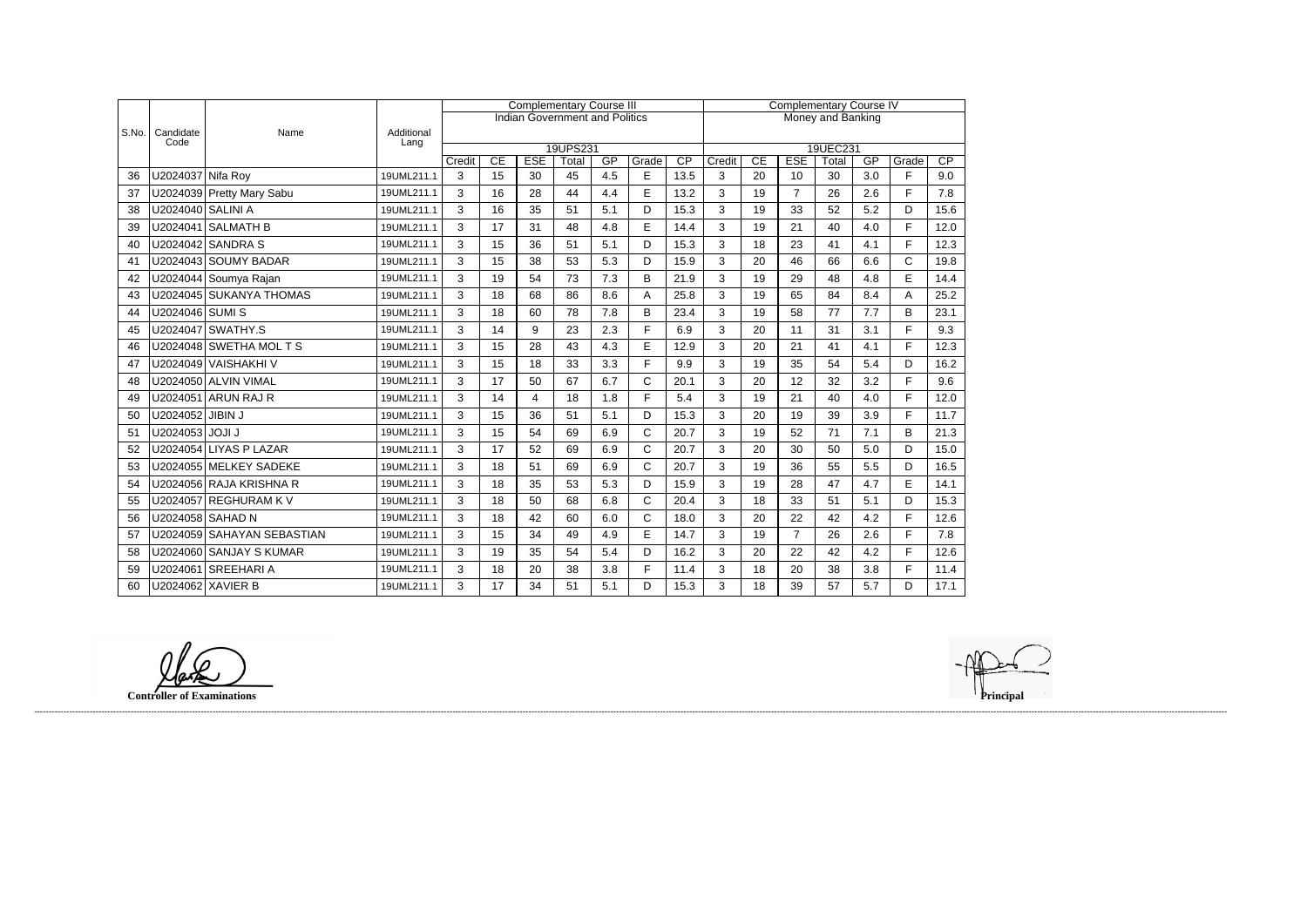|       |                   |                            |                    |        |    |            | <b>Complementary Course III</b>       |     |              | <b>Complementary Course IV</b> |                   |    |                |                   |     |             |      |  |
|-------|-------------------|----------------------------|--------------------|--------|----|------------|---------------------------------------|-----|--------------|--------------------------------|-------------------|----|----------------|-------------------|-----|-------------|------|--|
|       |                   |                            |                    |        |    |            | <b>Indian Government and Politics</b> |     |              |                                | Money and Banking |    |                |                   |     |             |      |  |
| S.No. | Candidate<br>Code | Name                       | Additional<br>Lang |        |    |            |                                       |     |              |                                |                   |    |                |                   |     |             |      |  |
|       |                   |                            |                    | Credit | CE | <b>ESE</b> | 19UPS231<br>Total                     | GP  | Grade        | $\overline{CP}$                | Credit            | CE | <b>ESE</b>     | 19UEC231<br>Total | GP  | Grade       | CP   |  |
| 36    | U2024037 Nifa Roy |                            | 19UML211.1         | 3      | 15 | 30         | 45                                    | 4.5 | E            | 13.5                           | 3                 | 20 | 10             | 30                | 3.0 | E           | 9.0  |  |
| 37    |                   | U2024039 Pretty Mary Sabu  | 19UML211.1         | 3      | 16 | 28         | 44                                    | 4.4 | E            | 13.2                           | 3                 | 19 | $\overline{7}$ | 26                | 2.6 | F           | 7.8  |  |
| 38    | U2024040 SALINI A |                            | 19UML211.1         | 3      | 16 | 35         | 51                                    | 5.1 | D            | 15.3                           | 3                 | 19 | 33             | 52                | 5.2 | D           | 15.6 |  |
| 39    |                   | U2024041 SALMATH B         | 19UML211.1         | 3      | 17 | 31         | 48                                    | 4.8 | E            | 14.4                           | 3                 | 19 | 21             | 40                | 4.0 | F.          | 12.0 |  |
| 40    |                   | U2024042 SANDRA S          | 19UML211.1         | 3      | 15 | 36         | 51                                    | 5.1 | D            | 15.3                           | 3                 | 18 | 23             | 41                | 4.1 | F           | 12.3 |  |
| 41    |                   | U2024043 SOUMY BADAR       | 19UML211.1         | 3      | 15 | 38         | 53                                    | 5.3 | D            | 15.9                           | 3                 | 20 | 46             | 66                | 6.6 | $\mathsf C$ | 19.8 |  |
| 42    |                   | U2024044 Soumya Rajan      | 19UML211.1         | 3      | 19 | 54         | 73                                    | 7.3 | B            | 21.9                           | 3                 | 19 | 29             | 48                | 4.8 | E           | 14.4 |  |
| 43    |                   | U2024045 SUKANYA THOMAS    | 19UML211.1         | 3      | 18 | 68         | 86                                    | 8.6 | Α            | 25.8                           | 3                 | 19 | 65             | 84                | 8.4 | Α           | 25.2 |  |
| 44    | U2024046 SUMI S   |                            | 19UML211.1         | 3      | 18 | 60         | 78                                    | 7.8 | B            | 23.4                           | 3                 | 19 | 58             | 77                | 7.7 | B           | 23.1 |  |
| 45    |                   | U2024047 SWATHY.S          | 19UML211.1         | 3      | 14 | 9          | 23                                    | 2.3 | F.           | 6.9                            | 3                 | 20 | 11             | 31                | 3.1 | F.          | 9.3  |  |
| 46    |                   | U2024048 SWETHA MOL T S    | 19UML211.1         | 3      | 15 | 28         | 43                                    | 4.3 | E            | 12.9                           | 3                 | 20 | 21             | 41                | 4.1 | F           | 12.3 |  |
| 47    |                   | U2024049 VAISHAKHI V       | 19UML211.1         | 3      | 15 | 18         | 33                                    | 3.3 | F            | 9.9                            | 3                 | 19 | 35             | 54                | 5.4 | D           | 16.2 |  |
| 48    |                   | U2024050 ALVIN VIMAL       | 19UML211.1         | 3      | 17 | 50         | 67                                    | 6.7 | $\mathsf C$  | 20.1                           | 3                 | 20 | 12             | 32                | 3.2 | F.          | 9.6  |  |
| 49    |                   | U2024051 ARUN RAJ R        | 19UML211.1         | 3      | 14 | 4          | 18                                    | 1.8 | F.           | 5.4                            | 3                 | 19 | 21             | 40                | 4.0 | F           | 12.0 |  |
| 50    | U2024052 JIBIN J  |                            | 19UML211.1         | 3      | 15 | 36         | 51                                    | 5.1 | D            | 15.3                           | 3                 | 20 | 19             | 39                | 3.9 | F           | 11.7 |  |
| 51    | U2024053          | <b>JOJI J</b>              | 19UML211.1         | 3      | 15 | 54         | 69                                    | 6.9 | C            | 20.7                           | 3                 | 19 | 52             | 71                | 7.1 | B           | 21.3 |  |
| 52    |                   | U2024054 LIYAS P LAZAR     | 19UML211.1         | 3      | 17 | 52         | 69                                    | 6.9 | $\mathsf{C}$ | 20.7                           | 3                 | 20 | 30             | 50                | 5.0 | D           | 15.0 |  |
| 53    |                   | U2024055 MELKEY SADEKE     | 19UML211.1         | 3      | 18 | 51         | 69                                    | 6.9 | $\mathsf C$  | 20.7                           | 3                 | 19 | 36             | 55                | 5.5 | D           | 16.5 |  |
| 54    |                   | U2024056 RAJA KRISHNA R    | 19UML211.1         | 3      | 18 | 35         | 53                                    | 5.3 | D            | 15.9                           | 3                 | 19 | 28             | 47                | 4.7 | E           | 14.1 |  |
| 55    |                   | U2024057 REGHURAM K V      | 19UML211.1         | 3      | 18 | 50         | 68                                    | 6.8 | $\mathsf C$  | 20.4                           | 3                 | 18 | 33             | 51                | 5.1 | D           | 15.3 |  |
| 56    |                   | U2024058 SAHAD N           | 19UML211.1         | 3      | 18 | 42         | 60                                    | 6.0 | C            | 18.0                           | 3                 | 20 | 22             | 42                | 4.2 | F.          | 12.6 |  |
| 57    |                   | U2024059 SAHAYAN SEBASTIAN | 19UML211.1         | 3      | 15 | 34         | 49                                    | 4.9 | E            | 14.7                           | 3                 | 19 | $\overline{7}$ | 26                | 2.6 | F           | 7.8  |  |
| 58    |                   | U2024060 SANJAY S KUMAR    | 19UML211.1         | 3      | 19 | 35         | 54                                    | 5.4 | D            | 16.2                           | 3                 | 20 | 22             | 42                | 4.2 | F.          | 12.6 |  |
| 59    |                   | U2024061 SREEHARI A        | 19UML211.1         | 3      | 18 | 20         | 38                                    | 3.8 | F            | 11.4                           | 3                 | 18 | 20             | 38                | 3.8 | F           | 11.4 |  |
| 60    |                   | U2024062 XAVIER B          | 19UML211.1         | 3      | 17 | 34         | 51                                    | 5.1 | D            | 15.3                           | 3                 | 18 | 39             | 57                | 5.7 | D           | 17.1 |  |

**Controller of Examinations Principal**

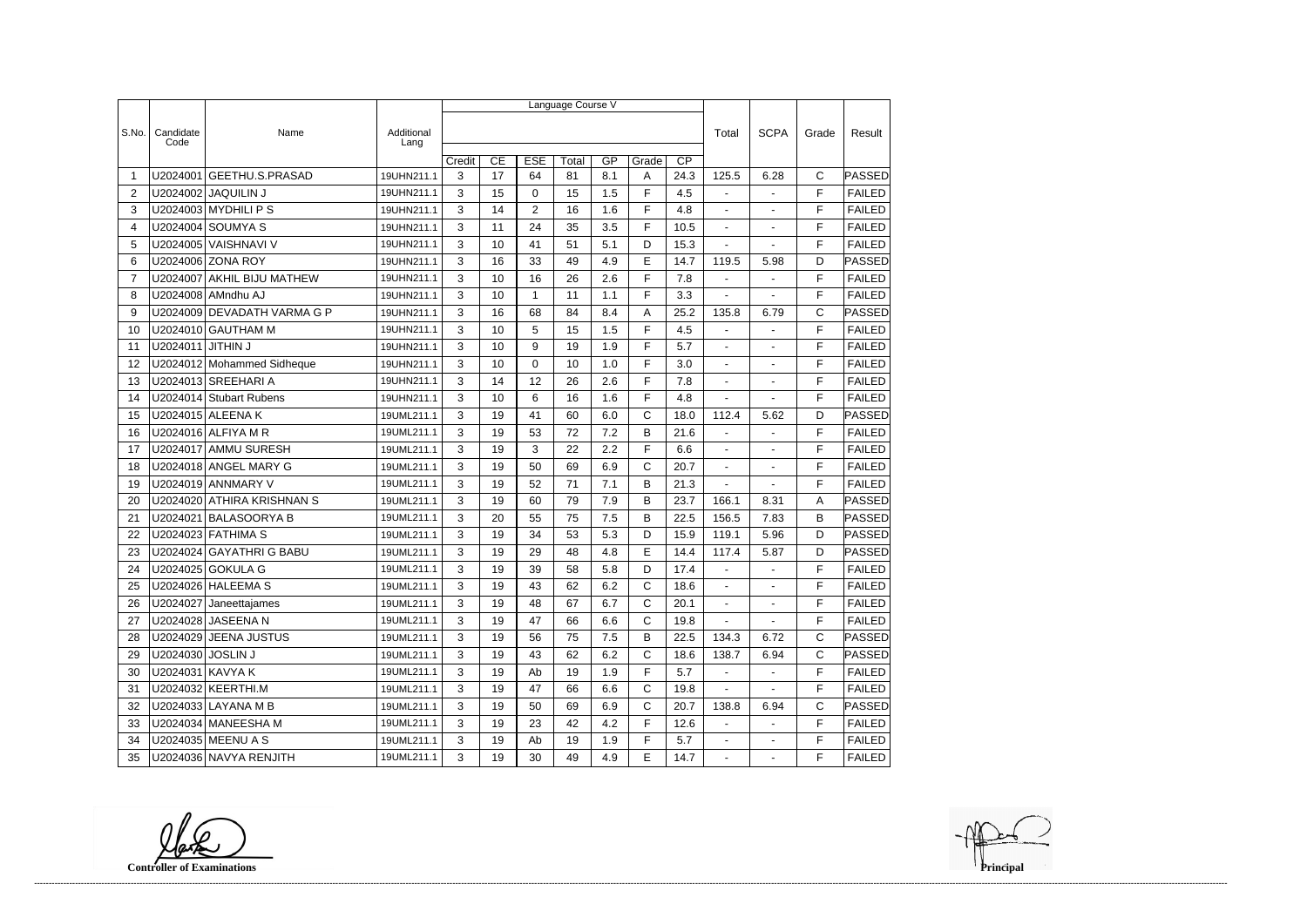|                 |                   |                             |                    | Language Course V |    |                 |       |     |              |                 |                          |                |              |               |  |
|-----------------|-------------------|-----------------------------|--------------------|-------------------|----|-----------------|-------|-----|--------------|-----------------|--------------------------|----------------|--------------|---------------|--|
|                 |                   |                             |                    |                   |    |                 |       |     |              |                 |                          |                |              | Result        |  |
| S.No.           | Candidate<br>Code | Name                        | Additional<br>Lang |                   |    |                 |       |     |              |                 | Total                    | <b>SCPA</b>    | Grade        |               |  |
|                 |                   |                             |                    | Credit            | CE | <b>ESE</b>      | Total | GP  | Grade        | $\overline{CP}$ |                          |                |              |               |  |
| -1              | U2024001          | <b>GEETHU.S.PRASAD</b>      | 19UHN211.1         | 3                 | 17 | 64              | 81    | 8.1 | Α            | 24.3            | 125.5                    | 6.28           | C            | PASSED        |  |
| 2               | U2024002          | <b>JAQUILIN J</b>           | 19UHN211.1         | 3                 | 15 | $\mathbf 0$     | 15    | 1.5 | F            | 4.5             | $\blacksquare$           |                | F            | <b>FAILED</b> |  |
| 3               |                   | $U2024003$ MYDHILI P S      | 19UHN211.1         | 3                 | 14 | $\overline{2}$  | 16    | 1.6 | F            | 4.8             | $\blacksquare$           | $\blacksquare$ | F            | <b>FAILED</b> |  |
| 4               |                   | U2024004 SOUMYA S           | 19UHN211.1         | 3                 | 11 | 24              | 35    | 3.5 | F            | 10.5            | $\mathbf{r}$             |                | F            | <b>FAILED</b> |  |
| 5               |                   | U2024005 VAISHNAVI V        | 19UHN211.1         | 3                 | 10 | 41              | 51    | 5.1 | D            | 15.3            | $\blacksquare$           | $\blacksquare$ | F            | <b>FAILED</b> |  |
| 6               |                   | U2024006 ZONA ROY           | 19UHN211.1         | 3                 | 16 | 33              | 49    | 4.9 | E            | 14.7            | 119.5                    | 5.98           | D            | PASSED        |  |
| $\overline{7}$  | U2024007          | <b>AKHIL BIJU MATHEW</b>    | 19UHN211.1         | 3                 | 10 | 16              | 26    | 2.6 | F            | 7.8             |                          |                | F            | <b>FAILED</b> |  |
| 8               |                   | U2024008 AMndhu AJ          | 19UHN211.1         | 3                 | 10 | $\mathbf{1}$    | 11    | 1.1 | F            | 3.3             | $\blacksquare$           | ÷,             | F            | <b>FAILED</b> |  |
| 9               |                   | U2024009 DEVADATH VARMA G P | 19UHN211.1         | 3                 | 16 | 68              | 84    | 8.4 | Α            | 25.2            | 135.8                    | 6.79           | $\mathsf C$  | PASSED        |  |
| 10              |                   | U2024010 GAUTHAM M          | 19UHN211.1         | 3                 | 10 | 5               | 15    | 1.5 | F            | 4.5             | $\blacksquare$           | $\blacksquare$ | F            | <b>FAILED</b> |  |
| 11              | U2024011          | <b>JITHIN J</b>             | 19UHN211.1         | 3                 | 10 | 9               | 19    | 1.9 | F            | 5.7             | $\blacksquare$           | $\blacksquare$ | F            | <b>FAILED</b> |  |
| 12              |                   | U2024012 Mohammed Sidheque  | 19UHN211.1         | 3                 | 10 | $\mathbf 0$     | 10    | 1.0 | F            | 3.0             | $\blacksquare$           | $\blacksquare$ | F            | <b>FAILED</b> |  |
| 13              |                   | U2024013 SREEHARI A         | 19UHN211.1         | 3                 | 14 | 12              | 26    | 2.6 | F            | 7.8             | $\overline{\phantom{a}}$ |                | F            | <b>FAILED</b> |  |
| 14              |                   | U2024014 Stubart Rubens     | 19UHN211.1         | 3                 | 10 | $6\phantom{1}6$ | 16    | 1.6 | F            | 4.8             |                          |                | F            | <b>FAILED</b> |  |
| 15              |                   | U2024015 ALEENA K           | 19UML211.1         | 3                 | 19 | 41              | 60    | 6.0 | C            | 18.0            | 112.4                    | 5.62           | D            | <b>PASSED</b> |  |
| 16              |                   | U2024016 ALFIYA M R         | 19UML211.1         | 3                 | 19 | 53              | 72    | 7.2 | B            | 21.6            |                          |                | F            | <b>FAILED</b> |  |
| 17              |                   | U2024017 AMMU SURESH        | 19UML211.1         | 3                 | 19 | 3               | 22    | 2.2 | F            | 6.6             | $\blacksquare$           |                | F            | <b>FAILED</b> |  |
| 18              |                   | U2024018 ANGEL MARY G       | 19UML211.1         | 3                 | 19 | 50              | 69    | 6.9 | C            | 20.7            | $\blacksquare$           | $\overline{a}$ | F            | <b>FAILED</b> |  |
| 19              |                   | U2024019 ANNMARY V          | 19UML211.1         | 3                 | 19 | 52              | 71    | 7.1 | B            | 21.3            |                          |                | F            | <b>FAILED</b> |  |
| 20              |                   | U2024020 ATHIRA KRISHNAN S  | 19UML211.1         | 3                 | 19 | 60              | 79    | 7.9 | B            | 23.7            | 166.1                    | 8.31           | A            | PASSED        |  |
| 21              | U2024021          | <b>BALASOORYA B</b>         | 19UML211.1         | 3                 | 20 | 55              | 75    | 7.5 | B            | 22.5            | 156.5                    | 7.83           | B            | PASSED        |  |
| 22              |                   | U2024023 FATHIMA S          | 19UML211.1         | 3                 | 19 | 34              | 53    | 5.3 | D            | 15.9            | 119.1                    | 5.96           | D            | PASSED        |  |
| 23              |                   | U2024024 GAYATHRI G BABU    | 19UML211.1         | 3                 | 19 | 29              | 48    | 4.8 | E            | 14.4            | 117.4                    | 5.87           | D            | <b>PASSED</b> |  |
| 24              |                   | U2024025 GOKULA G           | 19UML211.1         | 3                 | 19 | 39              | 58    | 5.8 | D            | 17.4            | $\mathbf{r}$             |                | F            | <b>FAILED</b> |  |
| 25              |                   | U2024026 HALEEMA S          | 19UML211.1         | 3                 | 19 | 43              | 62    | 6.2 | C            | 18.6            | $\sim$                   | $\sim$         | $\mathsf F$  | FAILED        |  |
| 26              |                   | U2024027 Janeettajames      | 19UML211.1         | 3                 | 19 | 48              | 67    | 6.7 | C            | 20.1            |                          |                | F            | <b>FAILED</b> |  |
| 27              |                   | U2024028 JASEENA N          | 19UML211.1         | 3                 | 19 | 47              | 66    | 6.6 | $\mathsf{C}$ | 19.8            | $\sim$                   | $\mathbf{r}$   | F            | <b>FAILED</b> |  |
| 28              |                   | U2024029 JEENA JUSTUS       | 19UML211.1         | 3                 | 19 | 56              | 75    | 7.5 | B            | 22.5            | 134.3                    | 6.72           | С            | PASSED        |  |
| 29              | U2024030 JOSLIN J |                             | 19UML211.1         | 3                 | 19 | 43              | 62    | 6.2 | C            | 18.6            | 138.7                    | 6.94           | C            | PASSED        |  |
| 30              | U2024031 KAVYA K  |                             | 19UML211.1         | 3                 | 19 | Ab              | 19    | 1.9 | F            | 5.7             | $\sim$                   | $\blacksquare$ | F            | <b>FAILED</b> |  |
| 31              |                   | U2024032 KEERTHI.M          | 19UML211.1         | 3                 | 19 | 47              | 66    | 6.6 | С            | 19.8            |                          |                | F            | <b>FAILED</b> |  |
| 32              |                   | U2024033 LAYANA M B         | 19UML211.1         | 3                 | 19 | 50              | 69    | 6.9 | $\mathbf C$  | 20.7            | 138.8                    | 6.94           | $\mathsf{C}$ | PASSED        |  |
| 33              |                   | U2024034   MANEESHA M       | 19UML211.1         | 3                 | 19 | 23              | 42    | 4.2 | F            | 12.6            | $\blacksquare$           | $\blacksquare$ | F            | <b>FAILED</b> |  |
| 34              |                   | U2024035 MEENU A S          | 19UML211.1         | 3                 | 19 | Ab              | 19    | 1.9 | F.           | 5.7             | $\mathbb{Z}^{\times}$    | $\blacksquare$ | F            | <b>FAILED</b> |  |
| 35 <sub>o</sub> |                   | U2024036 NAVYA RENJITH      | 19UML211.1         | 3                 | 19 | 30              | 49    | 4.9 | E            | 14.7            | $\blacksquare$           | $\blacksquare$ | F            | FAILED        |  |

**Controller of Examinations**